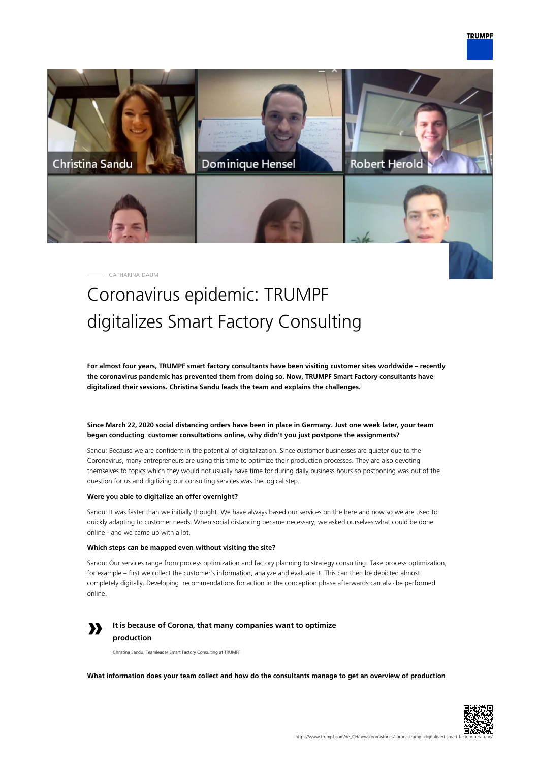

CATHARINA DAUM

# Coronavirus epidemic: TRUMPF digitalizes Smart Factory Consulting

**For almost four years, TRUMPF smart factory consultants have been visiting customer sites worldwide – recently the coronavirus pandemic has prevented them from doing so. Now, TRUMPF Smart Factory consultants have digitalized their sessions. Christina Sandu leads the team and explains the challenges.**

# **Since March 22, 2020 social distancing orders have been in place in Germany. Just one week later, your team began conducting customer consultations online, why didn't you just postpone the assignments?**

Sandu: Because we are confident in the potential of digitalization. Since customer businesses are quieter due to the Coronavirus, many entrepreneurs are using this time to optimize their production processes. They are also devoting themselves to topics which they would not usually have time for during daily business hours so postponing was out of the question for us and digitizing our consulting services was the logical step.

# **Were you able to digitalize an offer overnight?**

Sandu: It was faster than we initially thought. We have always based our services on the here and now so we are used to quickly adapting to customer needs. When social distancing became necessary, we asked ourselves what could be done online - and we came up with a lot.

# **Which steps can be mapped even without visiting the site?**

Sandu: Our services range from process optimization and factory planning to strategy consulting. Take process optimization, for example – first we collect the customer's information, analyze and evaluate it. This can then be depicted almost completely digitally. Developing recommendations for action in the conception phase afterwards can also be performed online.

# **»**

**It is because of Corona, that many companies want to optimize production**

Christina Sandu, Teamleader Smart Factory Consulting at TRUMPF

**What information does your team collect and how do the consultants manage to get an overview of production**